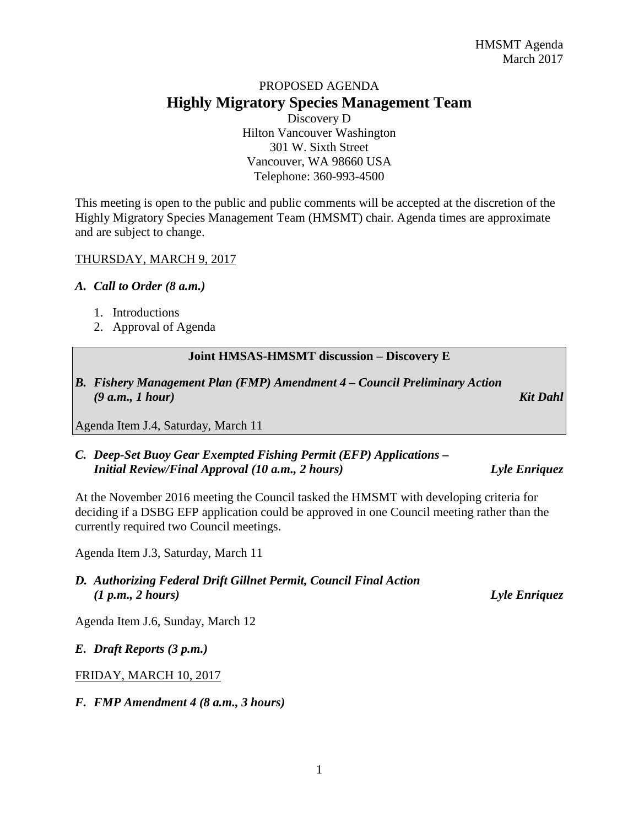# PROPOSED AGENDA **Highly Migratory Species Management Team**

Discovery D Hilton Vancouver Washington 301 W. Sixth Street Vancouver, WA 98660 USA Telephone: 360-993-4500

This meeting is open to the public and public comments will be accepted at the discretion of the Highly Migratory Species Management Team (HMSMT) chair. Agenda times are approximate and are subject to change.

#### THURSDAY, MARCH 9, 2017

#### *A. Call to Order (8 a.m.)*

- 1. Introductions
- 2. Approval of Agenda

#### **Joint HMSAS-HMSMT discussion – Discovery E**

*B. Fishery Management Plan (FMP) Amendment 4 – Council Preliminary Action (9 a.m., 1 hour) Kit Dahl*

Agenda Item J.4, Saturday, March 11

#### *C. Deep-Set Buoy Gear Exempted Fishing Permit (EFP) Applications – Initial Review/Final Approval (10 a.m., 2 hours) Lyle Enriquez*

At the November 2016 meeting the Council tasked the HMSMT with developing criteria for deciding if a DSBG EFP application could be approved in one Council meeting rather than the currently required two Council meetings.

Agenda Item J.3, Saturday, March 11

### *D. Authorizing Federal Drift Gillnet Permit, Council Final Action (1 p.m., 2 hours) Lyle Enriquez*

Agenda Item J.6, Sunday, March 12

#### *E. Draft Reports (3 p.m.)*

FRIDAY, MARCH 10, 2017

*F. FMP Amendment 4 (8 a.m., 3 hours)*